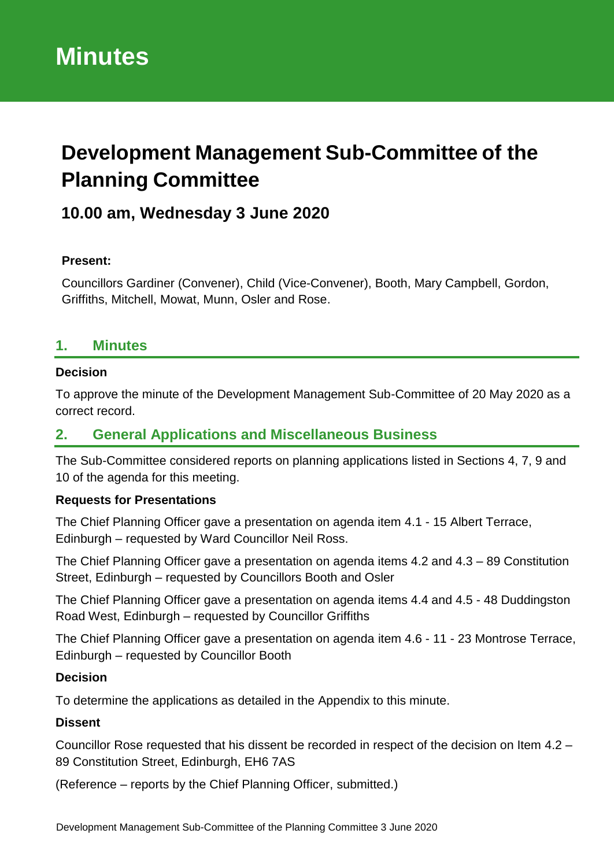# **Development Management Sub-Committee of the Planning Committee**

# **10.00 am, Wednesday 3 June 2020**

#### **Present:**

Councillors Gardiner (Convener), Child (Vice-Convener), Booth, Mary Campbell, Gordon, Griffiths, Mitchell, Mowat, Munn, Osler and Rose.

# **1. Minutes**

#### **Decision**

To approve the minute of the Development Management Sub-Committee of 20 May 2020 as a correct record.

# **2. General Applications and Miscellaneous Business**

The Sub-Committee considered reports on planning applications listed in Sections 4, 7, 9 and 10 of the agenda for this meeting.

#### **Requests for Presentations**

The Chief Planning Officer gave a presentation on agenda item 4.1 - 15 Albert Terrace, Edinburgh – requested by Ward Councillor Neil Ross.

The Chief Planning Officer gave a presentation on agenda items 4.2 and 4.3 – 89 Constitution Street, Edinburgh – requested by Councillors Booth and Osler

The Chief Planning Officer gave a presentation on agenda items 4.4 and 4.5 - 48 Duddingston Road West, Edinburgh – requested by Councillor Griffiths

The Chief Planning Officer gave a presentation on agenda item 4.6 - 11 - 23 Montrose Terrace, Edinburgh – requested by Councillor Booth

#### **Decision**

To determine the applications as detailed in the Appendix to this minute.

#### **Dissent**

Councillor Rose requested that his dissent be recorded in respect of the decision on Item 4.2 – 89 Constitution Street, Edinburgh, EH6 7AS

(Reference – reports by the Chief Planning Officer, submitted.)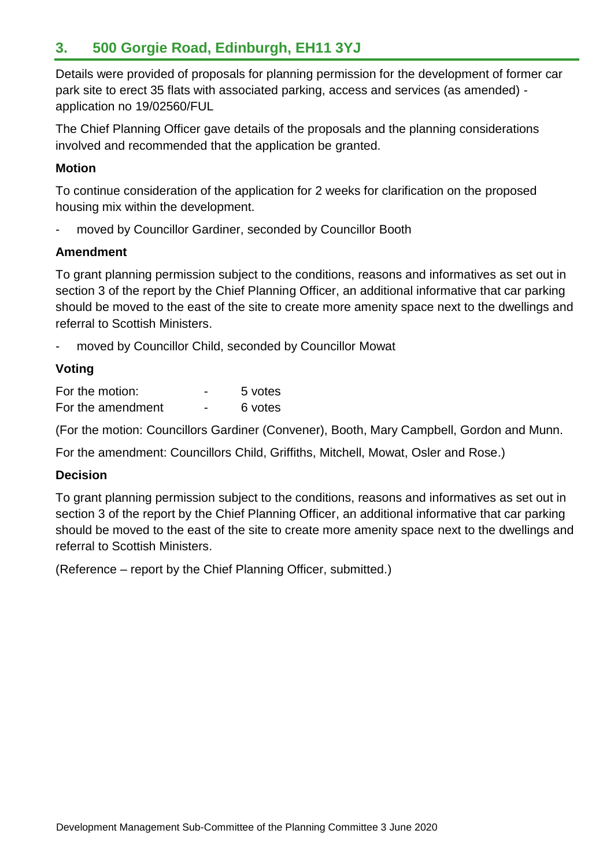# **3. 500 Gorgie Road, Edinburgh, EH11 3YJ**

Details were provided of proposals for planning permission for the development of former car park site to erect 35 flats with associated parking, access and services (as amended) application no 19/02560/FUL

The Chief Planning Officer gave details of the proposals and the planning considerations involved and recommended that the application be granted.

### **Motion**

To continue consideration of the application for 2 weeks for clarification on the proposed housing mix within the development.

moved by Councillor Gardiner, seconded by Councillor Booth

### **Amendment**

To grant planning permission subject to the conditions, reasons and informatives as set out in section 3 of the report by the Chief Planning Officer, an additional informative that car parking should be moved to the east of the site to create more amenity space next to the dwellings and referral to Scottish Ministers.

moved by Councillor Child, seconded by Councillor Mowat

# **Voting**

| For the motion:   | - | 5 votes |
|-------------------|---|---------|
| For the amendment | - | 6 votes |

(For the motion: Councillors Gardiner (Convener), Booth, Mary Campbell, Gordon and Munn.

For the amendment: Councillors Child, Griffiths, Mitchell, Mowat, Osler and Rose.)

# **Decision**

To grant planning permission subject to the conditions, reasons and informatives as set out in section 3 of the report by the Chief Planning Officer, an additional informative that car parking should be moved to the east of the site to create more amenity space next to the dwellings and referral to Scottish Ministers.

(Reference – report by the Chief Planning Officer, submitted.)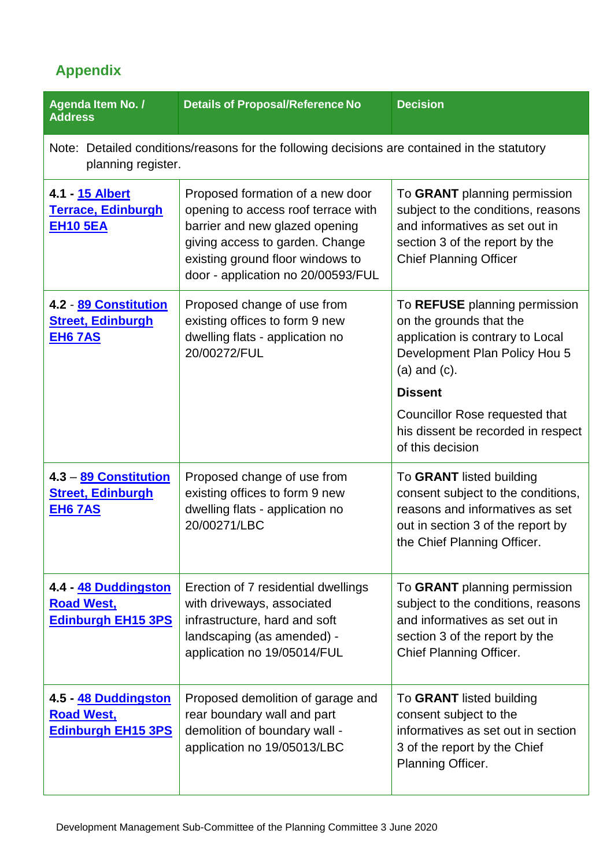# **Appendix**

| Agenda Item No. /<br><b>Address</b>                                                                                | <b>Details of Proposal/Reference No</b>                                                                                                                                                                                | <b>Decision</b>                                                                                                                                                         |
|--------------------------------------------------------------------------------------------------------------------|------------------------------------------------------------------------------------------------------------------------------------------------------------------------------------------------------------------------|-------------------------------------------------------------------------------------------------------------------------------------------------------------------------|
| Note: Detailed conditions/reasons for the following decisions are contained in the statutory<br>planning register. |                                                                                                                                                                                                                        |                                                                                                                                                                         |
| 4.1 - 15 Albert<br><b>Terrace, Edinburgh</b><br><b>EH10 5EA</b>                                                    | Proposed formation of a new door<br>opening to access roof terrace with<br>barrier and new glazed opening<br>giving access to garden. Change<br>existing ground floor windows to<br>door - application no 20/00593/FUL | To GRANT planning permission<br>subject to the conditions, reasons<br>and informatives as set out in<br>section 3 of the report by the<br><b>Chief Planning Officer</b> |
| 4.2 - 89 Constitution<br><b>Street, Edinburgh</b><br><b>EH6 7AS</b>                                                | Proposed change of use from<br>existing offices to form 9 new<br>dwelling flats - application no<br>20/00272/FUL                                                                                                       | To REFUSE planning permission<br>on the grounds that the<br>application is contrary to Local<br>Development Plan Policy Hou 5<br>$(a)$ and $(c)$ .<br><b>Dissent</b>    |
|                                                                                                                    |                                                                                                                                                                                                                        | Councillor Rose requested that<br>his dissent be recorded in respect<br>of this decision                                                                                |
| 4.3 - 89 Constitution<br><b>Street, Edinburgh</b><br><b>EH6 7AS</b>                                                | Proposed change of use from<br>existing offices to form 9 new<br>dwelling flats - application no<br>20/00271/LBC                                                                                                       | To GRANT listed building<br>consent subject to the conditions,<br>reasons and informatives as set<br>out in section 3 of the report by<br>the Chief Planning Officer.   |
| 4.4 - 48 Duddingston<br><b>Road West,</b><br><b>Edinburgh EH15 3PS</b>                                             | Erection of 7 residential dwellings<br>with driveways, associated<br>infrastructure, hard and soft<br>landscaping (as amended) -<br>application no 19/05014/FUL                                                        | To GRANT planning permission<br>subject to the conditions, reasons<br>and informatives as set out in<br>section 3 of the report by the<br>Chief Planning Officer.       |
| 4.5 - 48 Duddingston<br><u>Road West,</u><br><b>Edinburgh EH15 3PS</b>                                             | Proposed demolition of garage and<br>rear boundary wall and part<br>demolition of boundary wall -<br>application no 19/05013/LBC                                                                                       | To GRANT listed building<br>consent subject to the<br>informatives as set out in section<br>3 of the report by the Chief<br>Planning Officer.                           |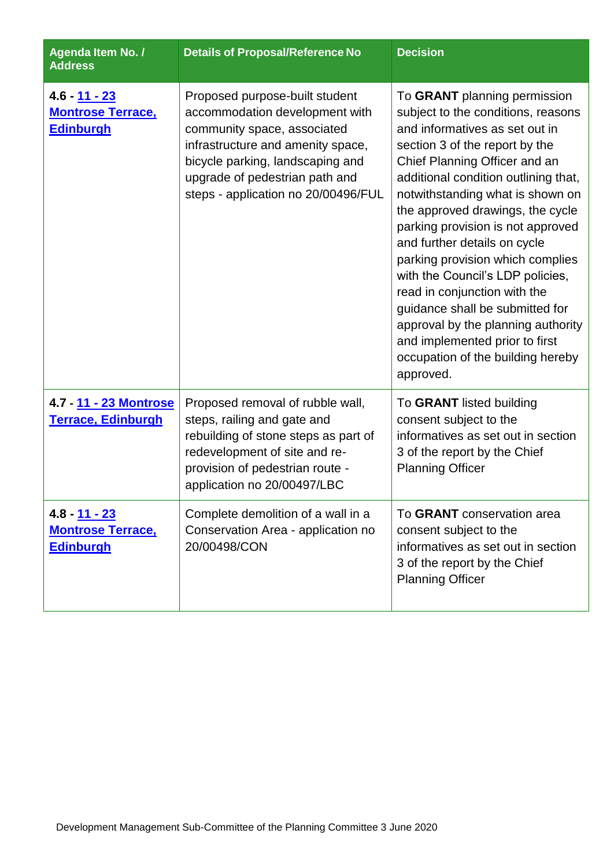| Agenda Item No. /<br><b>Address</b>                                  | <b>Details of Proposal/Reference No</b>                                                                                                                                                                                                           | <b>Decision</b>                                                                                                                                                                                                                                                                                                                                                                                                                                                                                                                                                                                                                   |
|----------------------------------------------------------------------|---------------------------------------------------------------------------------------------------------------------------------------------------------------------------------------------------------------------------------------------------|-----------------------------------------------------------------------------------------------------------------------------------------------------------------------------------------------------------------------------------------------------------------------------------------------------------------------------------------------------------------------------------------------------------------------------------------------------------------------------------------------------------------------------------------------------------------------------------------------------------------------------------|
| 4.6 - <u>11 - 23</u><br><b>Montrose Terrace,</b><br><b>Edinburgh</b> | Proposed purpose-built student<br>accommodation development with<br>community space, associated<br>infrastructure and amenity space,<br>bicycle parking, landscaping and<br>upgrade of pedestrian path and<br>steps - application no 20/00496/FUL | To GRANT planning permission<br>subject to the conditions, reasons<br>and informatives as set out in<br>section 3 of the report by the<br>Chief Planning Officer and an<br>additional condition outlining that,<br>notwithstanding what is shown on<br>the approved drawings, the cycle<br>parking provision is not approved<br>and further details on cycle<br>parking provision which complies<br>with the Council's LDP policies,<br>read in conjunction with the<br>guidance shall be submitted for<br>approval by the planning authority<br>and implemented prior to first<br>occupation of the building hereby<br>approved. |
| 4.7 - 11 - 23 Montrose<br><b>Terrace, Edinburgh</b>                  | Proposed removal of rubble wall,<br>steps, railing and gate and<br>rebuilding of stone steps as part of<br>redevelopment of site and re-<br>provision of pedestrian route -<br>application no 20/00497/LBC                                        | To GRANT listed building<br>consent subject to the<br>informatives as set out in section<br>3 of the report by the Chief<br><b>Planning Officer</b>                                                                                                                                                                                                                                                                                                                                                                                                                                                                               |
| $4.8 - 11 - 23$<br><b>Montrose Terrace,</b><br><b>Edinburgh</b>      | Complete demolition of a wall in a<br>Conservation Area - application no<br>20/00498/CON                                                                                                                                                          | To GRANT conservation area<br>consent subject to the<br>informatives as set out in section<br>3 of the report by the Chief<br><b>Planning Officer</b>                                                                                                                                                                                                                                                                                                                                                                                                                                                                             |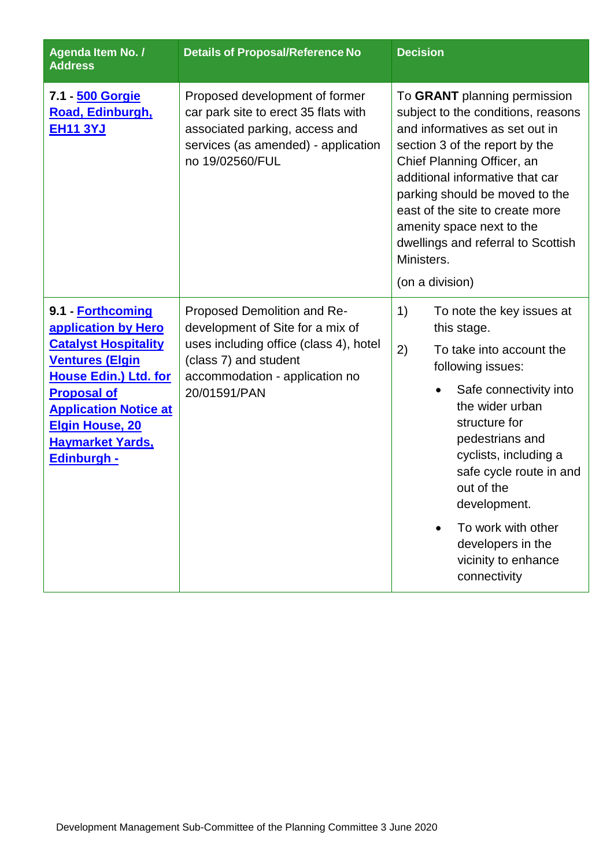| Agenda Item No. /<br><b>Address</b>                                                                                                                                                                                                                                | <b>Details of Proposal/Reference No</b>                                                                                                                                              | <b>Decision</b>                                                                                                                                                                                                                                                                                                                                                                  |
|--------------------------------------------------------------------------------------------------------------------------------------------------------------------------------------------------------------------------------------------------------------------|--------------------------------------------------------------------------------------------------------------------------------------------------------------------------------------|----------------------------------------------------------------------------------------------------------------------------------------------------------------------------------------------------------------------------------------------------------------------------------------------------------------------------------------------------------------------------------|
| 7.1 - 500 Gorgie<br>Road, Edinburgh,<br><b>EH11 3YJ</b>                                                                                                                                                                                                            | Proposed development of former<br>car park site to erect 35 flats with<br>associated parking, access and<br>services (as amended) - application<br>no 19/02560/FUL                   | To GRANT planning permission<br>subject to the conditions, reasons<br>and informatives as set out in<br>section 3 of the report by the<br>Chief Planning Officer, an<br>additional informative that car<br>parking should be moved to the<br>east of the site to create more<br>amenity space next to the<br>dwellings and referral to Scottish<br>Ministers.<br>(on a division) |
| 9.1 - Forthcoming<br>application by Hero<br><b>Catalyst Hospitality</b><br><b>Ventures (Elgin</b><br><b>House Edin.) Ltd. for</b><br><b>Proposal of</b><br><b>Application Notice at</b><br><b>Elgin House, 20</b><br><b>Haymarket Yards,</b><br><b>Edinburgh -</b> | Proposed Demolition and Re-<br>development of Site for a mix of<br>uses including office (class 4), hotel<br>(class 7) and student<br>accommodation - application no<br>20/01591/PAN | 1)<br>To note the key issues at<br>this stage.<br>2)<br>To take into account the<br>following issues:<br>Safe connectivity into<br>the wider urban<br>structure for<br>pedestrians and<br>cyclists, including a<br>safe cycle route in and<br>out of the<br>development.<br>To work with other<br>developers in the<br>vicinity to enhance<br>connectivity                       |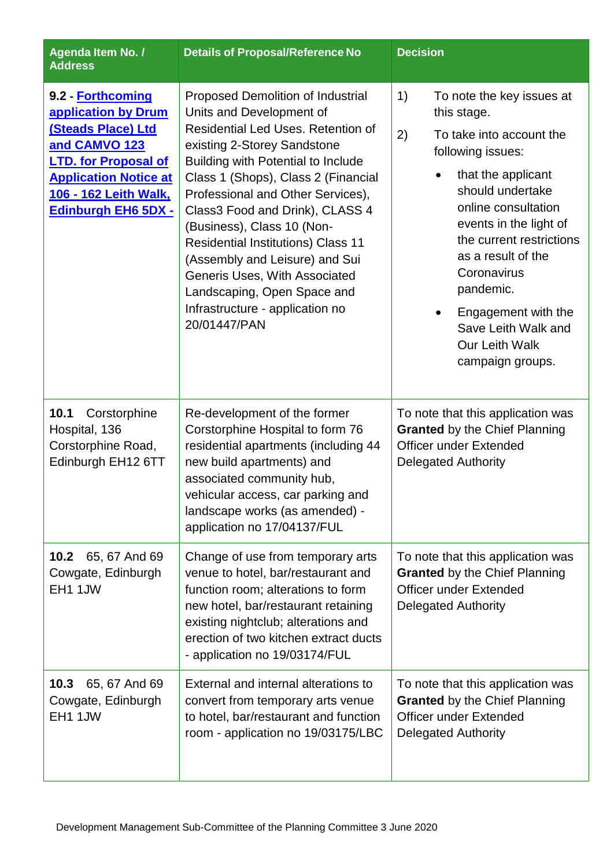| Agenda Item No. /<br><b>Address</b>                                                                                                                                                                          | <b>Details of Proposal/Reference No</b>                                                                                                                                                                                                                                                                                                                                                                                                                                                                                 | <b>Decision</b>                                                                                                                                                                                                                                                                                                                                                                        |
|--------------------------------------------------------------------------------------------------------------------------------------------------------------------------------------------------------------|-------------------------------------------------------------------------------------------------------------------------------------------------------------------------------------------------------------------------------------------------------------------------------------------------------------------------------------------------------------------------------------------------------------------------------------------------------------------------------------------------------------------------|----------------------------------------------------------------------------------------------------------------------------------------------------------------------------------------------------------------------------------------------------------------------------------------------------------------------------------------------------------------------------------------|
| 9.2 - Forthcoming<br>application by Drum<br><b>(Steads Place) Ltd</b><br>and CAMVO 123<br><b>LTD.</b> for Proposal of<br><b>Application Notice at</b><br>106 - 162 Leith Walk,<br><b>Edinburgh EH6 5DX -</b> | Proposed Demolition of Industrial<br>Units and Development of<br>Residential Led Uses, Retention of<br>existing 2-Storey Sandstone<br>Building with Potential to Include<br>Class 1 (Shops), Class 2 (Financial<br>Professional and Other Services),<br>Class3 Food and Drink), CLASS 4<br>(Business), Class 10 (Non-<br><b>Residential Institutions) Class 11</b><br>(Assembly and Leisure) and Sui<br>Generis Uses, With Associated<br>Landscaping, Open Space and<br>Infrastructure - application no<br>20/01447/PAN | 1)<br>To note the key issues at<br>this stage.<br>2)<br>To take into account the<br>following issues:<br>that the applicant<br>should undertake<br>online consultation<br>events in the light of<br>the current restrictions<br>as a result of the<br>Coronavirus<br>pandemic.<br>Engagement with the<br>$\bullet$<br>Save Leith Walk and<br><b>Our Leith Walk</b><br>campaign groups. |
| 10.1<br>Corstorphine<br>Hospital, 136<br>Corstorphine Road,<br>Edinburgh EH12 6TT                                                                                                                            | Re-development of the former<br>Corstorphine Hospital to form 76<br>residential apartments (including 44<br>new build apartments) and<br>associated community hub,<br>vehicular access, car parking and<br>landscape works (as amended) -<br>application no 17/04137/FUL                                                                                                                                                                                                                                                | To note that this application was<br><b>Granted</b> by the Chief Planning<br><b>Officer under Extended</b><br><b>Delegated Authority</b>                                                                                                                                                                                                                                               |
| 10.2<br>65, 67 And 69<br>Cowgate, Edinburgh<br>EH1 1JW                                                                                                                                                       | Change of use from temporary arts<br>venue to hotel, bar/restaurant and<br>function room; alterations to form<br>new hotel, bar/restaurant retaining<br>existing nightclub; alterations and<br>erection of two kitchen extract ducts<br>- application no 19/03174/FUL                                                                                                                                                                                                                                                   | To note that this application was<br><b>Granted</b> by the Chief Planning<br><b>Officer under Extended</b><br><b>Delegated Authority</b>                                                                                                                                                                                                                                               |
| 10.3<br>65, 67 And 69<br>Cowgate, Edinburgh<br>EH1 1JW                                                                                                                                                       | External and internal alterations to<br>convert from temporary arts venue<br>to hotel, bar/restaurant and function<br>room - application no 19/03175/LBC                                                                                                                                                                                                                                                                                                                                                                | To note that this application was<br><b>Granted</b> by the Chief Planning<br><b>Officer under Extended</b><br><b>Delegated Authority</b>                                                                                                                                                                                                                                               |